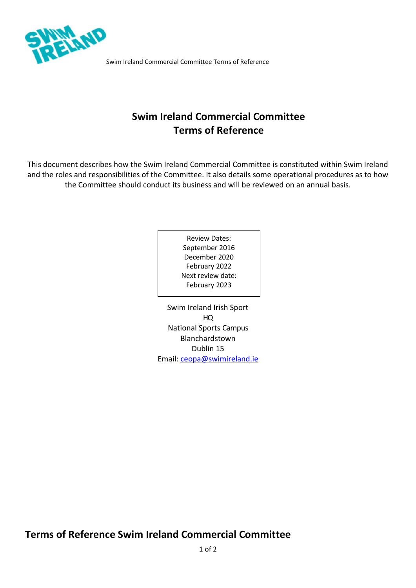

Swim Ireland Commercial Committee Terms of Reference

# **Swim Ireland Commercial Committee Terms of Reference**

This document describes how the Swim Ireland Commercial Committee is constituted within Swim Ireland and the roles and responsibilities of the Committee. It also details some operational procedures as to how the Committee should conduct its business and will be reviewed on an annual basis.

> Review Dates: September 2016 December 2020 February 2022 Next review date: February 2023

Swim Ireland Irish Sport HQ National Sports Campus Blanchardstown Dublin 15 Email: [ceopa@swimireland.ie](mailto:ceopa@swimireland.ie)

# **Terms of Reference Swim Ireland Commercial Committee**